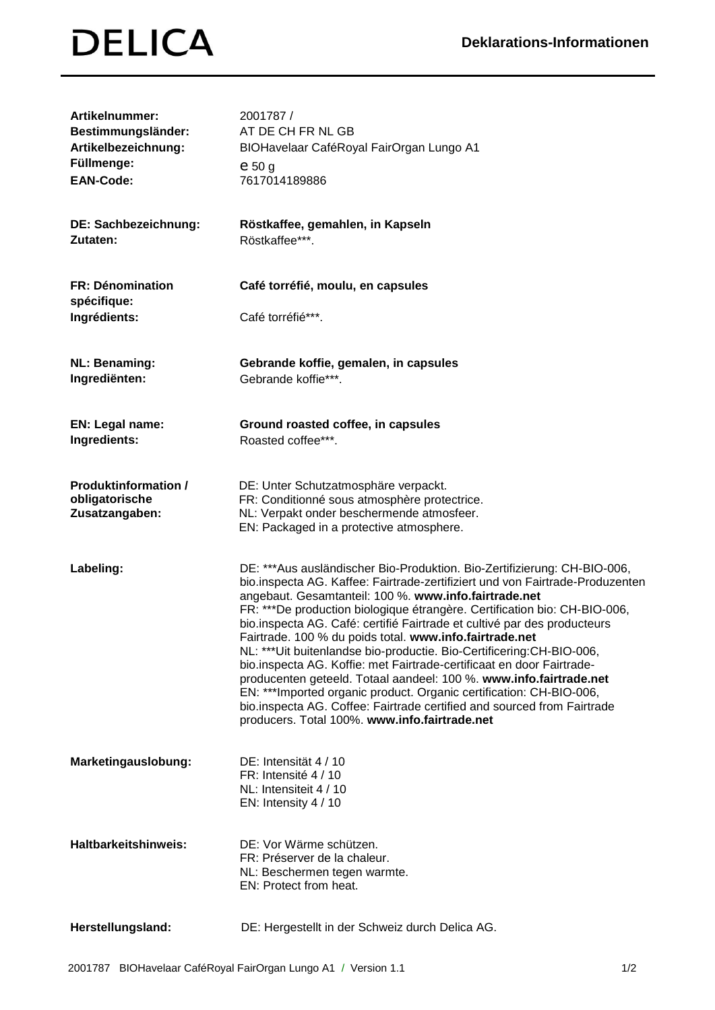## **DELICA**

| Artikelnummer:<br>Bestimmungsländer:<br>Artikelbezeichnung:     | 2001787 /<br>AT DE CH FR NL GB<br>BIOHavelaar CaféRoyal FairOrgan Lungo A1                                                                                                                                                                                                                                                                                                                                                                                                                                                                                                                                                                                                                                                                                                                                                                                         |
|-----------------------------------------------------------------|--------------------------------------------------------------------------------------------------------------------------------------------------------------------------------------------------------------------------------------------------------------------------------------------------------------------------------------------------------------------------------------------------------------------------------------------------------------------------------------------------------------------------------------------------------------------------------------------------------------------------------------------------------------------------------------------------------------------------------------------------------------------------------------------------------------------------------------------------------------------|
| Füllmenge:<br><b>EAN-Code:</b>                                  | $e_{50}$ g<br>7617014189886                                                                                                                                                                                                                                                                                                                                                                                                                                                                                                                                                                                                                                                                                                                                                                                                                                        |
| DE: Sachbezeichnung:<br>Zutaten:                                | Röstkaffee, gemahlen, in Kapseln<br>Röstkaffee***.                                                                                                                                                                                                                                                                                                                                                                                                                                                                                                                                                                                                                                                                                                                                                                                                                 |
| FR: Dénomination<br>spécifique:<br>Ingrédients:                 | Café torréfié, moulu, en capsules<br>Café torréfié***.                                                                                                                                                                                                                                                                                                                                                                                                                                                                                                                                                                                                                                                                                                                                                                                                             |
| <b>NL: Benaming:</b><br>Ingrediënten:                           | Gebrande koffie, gemalen, in capsules<br>Gebrande koffie***.                                                                                                                                                                                                                                                                                                                                                                                                                                                                                                                                                                                                                                                                                                                                                                                                       |
| EN: Legal name:<br>Ingredients:                                 | Ground roasted coffee, in capsules<br>Roasted coffee***.                                                                                                                                                                                                                                                                                                                                                                                                                                                                                                                                                                                                                                                                                                                                                                                                           |
| <b>Produktinformation /</b><br>obligatorische<br>Zusatzangaben: | DE: Unter Schutzatmosphäre verpackt.<br>FR: Conditionné sous atmosphère protectrice.<br>NL: Verpakt onder beschermende atmosfeer.<br>EN: Packaged in a protective atmosphere.                                                                                                                                                                                                                                                                                                                                                                                                                                                                                                                                                                                                                                                                                      |
| Labeling:                                                       | DE: ***Aus ausländischer Bio-Produktion. Bio-Zertifizierung: CH-BIO-006,<br>bio.inspecta AG. Kaffee: Fairtrade-zertifiziert und von Fairtrade-Produzenten<br>angebaut. Gesamtanteil: 100 %. www.info.fairtrade.net<br>FR: ***De production biologique étrangère. Certification bio: CH-BIO-006,<br>bio.inspecta AG. Café: certifié Fairtrade et cultivé par des producteurs<br>Fairtrade. 100 % du poids total. www.info.fairtrade.net<br>NL: *** Uit buitenlandse bio-productie. Bio-Certificering: CH-BIO-006,<br>bio.inspecta AG. Koffie: met Fairtrade-certificaat en door Fairtrade-<br>producenten geteeld. Totaal aandeel: 100 %. www.info.fairtrade.net<br>EN: ***Imported organic product. Organic certification: CH-BIO-006,<br>bio.inspecta AG. Coffee: Fairtrade certified and sourced from Fairtrade<br>producers. Total 100%. www.info.fairtrade.net |
| Marketingauslobung:                                             | DE: Intensität 4 / 10<br>FR: Intensité 4 / 10<br>NL: Intensiteit 4 / 10<br>EN: Intensity 4 / 10                                                                                                                                                                                                                                                                                                                                                                                                                                                                                                                                                                                                                                                                                                                                                                    |
| <b>Haltbarkeitshinweis:</b>                                     | DE: Vor Wärme schützen.<br>FR: Préserver de la chaleur.<br>NL: Beschermen tegen warmte.<br>EN: Protect from heat.                                                                                                                                                                                                                                                                                                                                                                                                                                                                                                                                                                                                                                                                                                                                                  |
| Herstellungsland:                                               | DE: Hergestellt in der Schweiz durch Delica AG.                                                                                                                                                                                                                                                                                                                                                                                                                                                                                                                                                                                                                                                                                                                                                                                                                    |